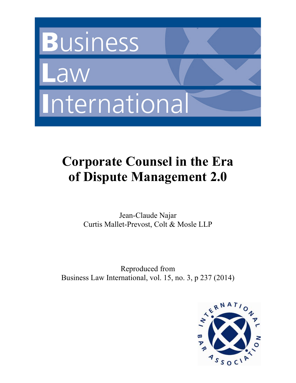

# **Corporate Counsel in the Era of Dispute Management 2.0**

Jean-Claude Najar Curtis Mallet-Prevost, Colt & Mosle LLP

Reproduced from Business Law International, vol. 15, no. 3, p 237 (2014)

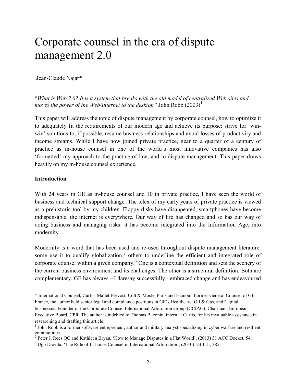# Corporate counsel in the era of dispute management 2.0

Jean-Claude Najar\*

"*What is Web 2.0? It is a system that breaks with the old model of centralized Web sites and moves the power of the Web/Internet to the desktop*" John Robb  $(2003)^1$  $(2003)^1$ 

This paper will address the topic of dispute management by corporate counsel, how to optimize it to adequately fit the requirements of our modern age and achieve its purpose: strive for 'winwin' solutions to, if possible, resume business relationships and avoid losses of productivity and income streams. While I have now joined private practice, near to a quarter of a century of practice as in-house counsel in one of the world's most innovative companies has also 'formatted' my approach to the practice of law, and to dispute management. This paper draws heavily on my in-house counsel experience.

#### **Introduction**

With 24 years in GE as in-house counsel and 10 in private practice, I have seen the world of business and technical support change. The telex of my early years of private practice is viewed as a prehistoric tool by my children. Floppy disks have disappeared, smartphones have become indispensable, the internet is everywhere. Our way of life has changed and so has our way of doing business and managing risks: it has become integrated into the Information Age, into modernity.

Modernity is a word that has been used and re-used throughout dispute management literature: some use it to qualify globalization,<sup>[2](#page-2-1)</sup> others to underline the efficient and integrated role of corporate counsel within a given company.<sup>[3](#page-2-2)</sup> One is a contextual definition and sets the scenery of the current business environment and its challenges. The other is a structural definition. Both are complementary. GE has always --I daresay successfully - embraced change and has endeavoured

<span id="page-2-0"></span> $\overline{a}$ \* International Counsel, Curtis, Mallet-Prevost, Colt & Mosle, Paris and Istanbul. Former General Counsel of GE France, the author held senior legal and compliance positions in GE's Healthcare, Oil & Gas, and Capital businesses. Founder of the Corporate Counsel International Arbitration Group (CCIAG). Chairman, European Executive Board, CPR. The author is indebted to Thomas Baconin, intern at Curtis, for his invaluable assistance in researching and drafting this article.

<sup>&</sup>lt;sup>1</sup> John Robb is a former software entrepreneur, author and military analyst specializing in cyber warfare and resilient communities.

<span id="page-2-1"></span><sup>&</sup>lt;sup>2</sup> Peter J. Rees QC and Kathleen Bryan, 'How to Manage Disputes in a Flat World', (2013) 31 ACC Docket, 54.

<span id="page-2-2"></span><sup>&</sup>lt;sup>3</sup> Ugo Draetta, 'The Role of In-house Counsel in International Arbitration', (2010) I.B.L.J., 385.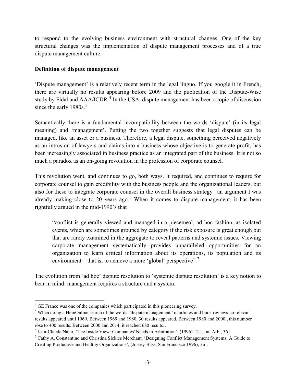to respond to the evolving business environment with structural changes. One of the key structural changes was the implementation of dispute management processes and of a true dispute management culture.

#### **Definition of dispute management**

'Dispute management' is a relatively recent term in the legal linguo. If you google it in French, there are virtually no results appearing before 2009 and the publication of the Dispute-Wise study by Fidal and  $AA/ICDR$ <sup>[4](#page-3-0)</sup>. In the USA, dispute management has been a topic of discussion since the early 1980s.<sup>[5](#page-3-1)</sup>

Semantically there is a fundamental incompatibility between the words 'dispute' (in its legal meaning) and 'management'. Putting the two together suggests that legal disputes can be managed, like an asset or a business. Therefore, a legal dispute, something perceived negatively as an intrusion of lawyers and claims into a business whose objective is to generate profit, has been increasingly associated in business practice as an integrated part of the business. It is not so much a paradox as an on-going revolution in the profession of corporate counsel.

This revolution went, and continues to go, both ways. It required, and continues to require for corporate counsel to gain credibility with the business people and the organizational leaders, but also for these to integrate corporate counsel in the overall business strategy –an argument I was already making close to 20 years ago.<sup>[6](#page-3-2)</sup> When it comes to dispute management, it has been rightfully argued in the mid-1990's that

"conflict is generally viewed and managed in a piecemeal, ad hoc fashion, as isolated events, which are sometimes grouped by category if the risk exposure is great enough but that are rarely examined in the aggregate to reveal patterns and systemic issues. Viewing corporate management systematically provides unparalleled opportunities for an organization to learn critical information about its operations, its population and its environment – that is, to achieve a more 'global' perspective".<sup>[7](#page-3-3)</sup>

The evolution from 'ad hoc' dispute resolution to 'systemic dispute resolution' is a key notion to bear in mind: management requires a structure and a system.

<span id="page-3-0"></span><sup>&</sup>lt;sup>4</sup> GE France was one of the companies which participated in this pioneering survey.

<span id="page-3-1"></span><sup>&</sup>lt;sup>5</sup> When doing a HeinOnline search of the words "dispute management" in articles and book reviews no relevant results appeared until 1969. Between 1969 and 1980, 30 results appeared. Between 1980 and 2000 , this number rose to 400 results. Between 2000 and 2014, it reached 680 results…

<span id="page-3-2"></span><sup>6</sup> Jean-Claude Najar, 'The Inside View: Companies' Needs in Arbitration', (1996) 12 J. Int. Arb , 361.

<span id="page-3-3"></span> $<sup>7</sup>$  Cathy A. Constantino and Christina Sickles Merchant, 'Designing Conflict Management Systems: A Guide to</sup> Creating Productive and Healthy Organizations', (Jossey-Bass, San Francisco 1996), xiii.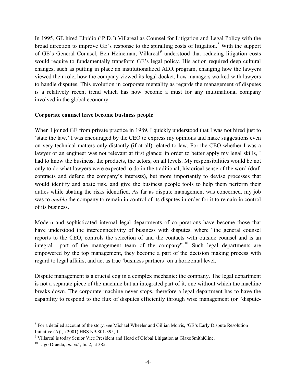In 1995, GE hired Elpidio ('P.D.') Villareal as Counsel for Litigation and Legal Policy with the broad direction to improve GE's response to the spiralling costs of litigation.<sup>[8](#page-4-0)</sup> With the support of GE's General Counsel, Ben Heineman, Villareal<sup>[9](#page-4-1)</sup> understood that reducing litigation costs would require to fundamentally transform GE's legal policy. His action required deep cultural changes, such as putting in place an institutionalized ADR program, changing how the lawyers viewed their role, how the company viewed its legal docket, how managers worked with lawyers to handle disputes. This evolution in corporate mentality as regards the management of disputes is a relatively recent trend which has now become a must for any multinational company involved in the global economy.

#### **Corporate counsel have become business people**

When I joined GE from private practice in 1989, I quickly understood that I was not hired just to 'state the law.' I was encouraged by the CEO to express my opinions and make suggestions even on very technical matters only distantly (if at all) related to law. For the CEO whether I was a lawyer or an engineer was not relevant at first glance: in order to better apply my legal skills, I had to know the business, the products, the actors, on all levels. My responsibilities would be not only to do what lawyers were expected to do in the traditional, historical sense of the word (draft contracts and defend the company's interests), but more importantly to devise processes that would identify and abate risk, and give the business people tools to help them perform their duties while abating the risks identified. As far as dispute management was concerned, my job was to *enable* the company to remain in control of its disputes in order for it to remain in control of its business.

Modern and sophisticated internal legal departments of corporations have become those that have understood the interconnectivity of business with disputes, where "the general counsel reports to the CEO, controls the selection of and the contacts with outside counsel and is an integral part of the management team of the company".<sup>[10](#page-4-2)</sup> Such legal departments are empowered by the top management, they become a part of the decision making process with regard to legal affairs, and act as true 'business partners' on a horizontal level.

Dispute management is a crucial cog in a complex mechanic: the company. The legal department is not a separate piece of the machine but an integrated part of it, one without which the machine breaks down. The corporate machine never stops, therefore a legal department has to have the capability to respond to the flux of disputes efficiently through wise management (or "dispute-

<span id="page-4-0"></span> <sup>8</sup> For a detailed account of the story, *see* Michael Wheeler and Gillian Morris, 'GE's Early Dispute Resolution

<span id="page-4-1"></span>Initiative (A)', (2001) HBS N9-801-395, 1.<br><sup>9</sup> Villareal is today Senior Vice President and Head of Global Litigation at GlaxoSmithKline.<br><sup>10</sup> Ugo Draetta, *op. cit.*, fn. 2, at 385.

<span id="page-4-2"></span>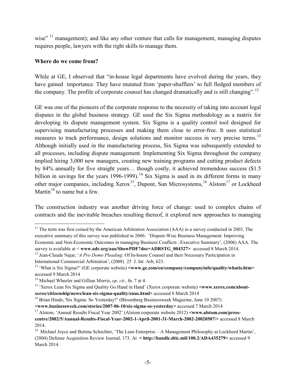wise"<sup>[11](#page-5-0)</sup> management); and like any other venture that calls for management, managing disputes requires people, lawyers with the right skills to manage them.

#### **Where do we come from?**

While at GE, I observed that "in-house legal departments have evolved during the years, they have gained importance. They have mutated from 'paper-shufflers' to full fledged members of the company. The profile of corporate counsel has changed dramatically and is still changing".<sup>[12](#page-5-1)</sup>

GE was one of the pioneers of the corporate response to the necessity of taking into account legal disputes in the global business strategy. GE used the Six Sigma methodology as a matrix for developing its dispute management system. Six Sigma is a quality control tool designed for supervising manufacturing processes and making them close to error-free. It uses statistical measures to track performance, design solutions and monitor success in very precise terms.<sup>[13](#page-5-2)</sup> Although initially used in the manufacturing process, Six Sigma was subsequently extended to all processes, including dispute management. Implementing Six Sigma throughout the company implied hiring 3,000 new managers, creating new training programs and cutting product defects by 84% annually for five straight years… though costly, it achieved tremendous success (\$1.5 billion in savings for the years 1996-1999).<sup>[14](#page-5-3)</sup> Six Sigma is used in its different forms in many other major companies, including Xerox<sup>15</sup>, Dupont, Sun Microsystems, <sup>[16](#page-5-5)</sup> Alstom<sup>[17](#page-5-6)</sup> or Lockheed Martin<sup>[18](#page-5-7)</sup> to name but a few.

The construction industry was another driving force of change: used to complex chains of contracts and the inevitable breaches resulting thereof, it explored new approaches to managing

<span id="page-5-0"></span><sup>&</sup>lt;sup>11</sup> The term was first coined by the American Arbitration Association (AAA) in a survey conducted in 2003. The executive summary of this survey was published in 2006: 'Dispute-Wise Business Management: Improving Economic and Non-Economic Outcomes in managing Business Conflicts –Executive Summary', (2006) AAA. The survey is available at < **www.adr.org/aaa/ShowPDF?doc=ADRSTG\_004327>** accessed 8 March 2014.

<span id="page-5-1"></span><sup>12</sup> Jean-Claude Najar, '*A Pro Domo Pleading*: Of In-house Counsel and their Necessary Participation in International Commercial Arbitration', (2008) 25 J. Int. Arb, 623.

<span id="page-5-2"></span><sup>&</sup>lt;sup>13</sup> 'What is Six Sigma?' (GE corporate website)  $\leq$ www.ge.com/en/company/companyinfo/quality/whatis.htm> accessed 9 March 2014

<span id="page-5-3"></span><sup>14</sup> Michael Wheeler and Gillian Morris, *op. cit.,* fn. 7 at 4.

<span id="page-5-4"></span><sup>&</sup>lt;sup>15</sup> 'Xerox Lean Six Sigma and Quality Go Hand in Hand' (Xerox corporate website) <www.xerox.com/about**xerox/citizenship/news/lean-six-sigma-quality/enus.html>** accessed 8 March 2014

<span id="page-5-5"></span><sup>16</sup> Brian Hindo,'Six Sigma: So Yesterday?' (Bloomberg Businessweek Magazine, June 10 2007)

**<sup>&</sup>lt;www.businessweek.com/stories/2007-06-10/six-sigma-so-yesterday>** accessed 7 March 2014

<span id="page-5-6"></span><sup>&</sup>lt;sup>17</sup> Alstom, 'Annual Results Fiscal Year 2002' (Alstom corporate website 2012) <**www.alstom.com/presscentre/2002/5/Annual-Results-Fiscal-Year-2002-1-April-2001-31-March-2002-20020507/>** accessed 8 March 2014.

<span id="page-5-7"></span><sup>&</sup>lt;sup>18</sup> Michael Joyce and Bettina Schechter, 'The Lean Enterprise – A Management Philosophy at Lockheed Martin', (2004) Defense Acquisition Review Journal, 173. At **< http://handle.dtic.mil/100.2/ADA435279>** accessed 9 March 2014.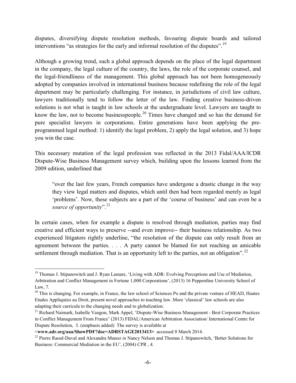disputes, diversifying dispute resolution methods, favouring dispute boards and tailored interventions "as strategies for the early and informal resolution of the disputes".<sup>[19](#page-6-0)</sup>

Although a growing trend, such a global approach depends on the place of the legal department in the company, the legal culture of the country, the laws, the role of the corporate counsel, and the legal-friendliness of the management. This global approach has not been homogeneously adopted by companies involved in international business because redefining the role of the legal department may be particularly challenging. For instance, in jurisdictions of civil law culture, lawyers traditionally tend to follow the letter of the law. Finding creative business-driven solutions is not what is taught in law schools at the undergraduate level. Lawyers are taught to know the law, not to become businesspeople.<sup>[20](#page-6-1)</sup> Times have changed and so has the demand for pure specialist lawyers in corporations. Entire generations have been applying the preprogrammed legal method: 1) identify the legal problem, 2) apply the legal solution, and 3) hope you win the case.

This necessary mutation of the legal profession was reflected in the 2013 Fidal/AAA/ICDR Dispute-Wise Business Management survey which, building upon the lessons learned from the 2009 edition, underlined that

"over the last few years, French companies have undergone a drastic change in the way they view legal matters and disputes, which until then had been regarded merely as legal 'problems'. Now, these subjects are a part of the 'course of business' and can even be a *source of opportunity*". [21](#page-6-2)

In certain cases, when for example a dispute is resolved through mediation, parties may find creative and efficient ways to preserve --and even improve-- their business relationship. As two experienced litigators rightly underline, "the resolution of the dispute can only result from an agreement between the parties. . . . A party cannot be blamed for not reaching an amicable settlement through mediation. That is an opportunity left to the parties, not an obligation".<sup>[22](#page-6-3)</sup>

<span id="page-6-0"></span><sup>&</sup>lt;sup>19</sup> Thomas J. Stipanowitch and J. Ryan Lamare, 'Living with ADR: Evolving Perceptions and Use of Mediation, Arbitration and Conflict Management in Fortune 1,000 Corporations', (2013) 16 Pepperdine University School of Law, 7.

<span id="page-6-1"></span><sup>&</sup>lt;sup>20</sup> This is changing. For example, in France, the law school of Sciences Po and the private venture of HEAD, Hautes Etudes Appliquées au Droit, present novel approaches to teaching law. More 'classical' law schools are also adapting their curricula to the changing needs and to globalization.

<span id="page-6-2"></span><sup>&</sup>lt;sup>21</sup> Richard Naimark, Isabelle Vaugon, Mark Appel, 'Dispute-Wise Business Management - Best Corporate Practices in Conflict Management From France' (2013) FIDAL/American Arbitration Association/ International Centre for Dispute Resolution, 3. (emphasis added) The survey is available at

<sup>&</sup>lt;**www.adr.org/aaa/ShowPDF?doc=ADRSTAGE2013413>** accessed 8 March 2014.

<span id="page-6-3"></span><sup>22</sup> Pierre Raoul-Duval and Alexandra Munoz *in* Nancy Nelson and Thomas J. Stipanowitch, 'Better Solutions for Business: Commercial Mediation in the EU', (2004) CPR , 4.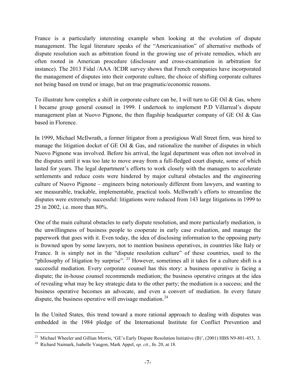France is a particularly interesting example when looking at the evolution of dispute management. The legal literature speaks of the "Americanisation" of alternative methods of dispute resolution such as arbitration found in the growing use of private remedies, which are often rooted in American procedure (disclosure and cross-examination in arbitration for instance). The 2013 Fidal /AAA /ICDR survey shows that French companies have incorporated the management of disputes into their corporate culture, the choice of shifting corporate cultures not being based on trend or image, but on true pragmatic/economic reasons.

To illustrate how complex a shift in corporate culture can be, I will turn to GE Oil  $\&$  Gas, where I became group general counsel in 1999. I undertook to implement P.D Villarreal's dispute management plan at Nuovo Pignone, the then flagship headquarter company of GE Oil & Gas based in Florence.

In 1999, Michael McIlwrath, a former litigator from a prestigious Wall Street firm, was hired to manage the litigation docket of GE Oil & Gas, and rationalize the number of disputes in which Nuovo Pignone was involved. Before his arrival, the legal department was often not involved in the disputes until it was too late to move away from a full-fledged court dispute, some of which lasted for years. The legal department's efforts to work closely with the managers to accelerate settlements and reduce costs were hindered by major cultural obstacles and the engineering culture of Nuovo Pignone – engineers being notoriously different from lawyers, and wanting to see measurable, trackable, implementable, practical tools. McIlwrath's efforts to streamline the disputes were extremely successful: litigations were reduced from 143 large litigations in 1999 to 25 in 2002, i.e. more than 80%.

One of the main cultural obstacles to early dispute resolution, and more particularly mediation, is the unwillingness of business people to cooperate in early case evaluation, and manage the paperwork that goes with it. Even today, the idea of disclosing information to the opposing party is frowned upon by some lawyers, not to mention business operatives, in countries like Italy or France. It is simply not in the "dispute resolution culture" of these countries, used to the "philosophy of litigation by surprise". <sup>[23](#page-7-0)</sup> However, sometimes all it takes for a culture shift is a successful mediation. Every corporate counsel has this story: a business operative is facing a dispute; the in-house counsel recommends mediation; the business operative cringes at the idea of revealing what may be key strategic data to the other party; the mediation is a success; and the business operative becomes an advocate, and even a convert of mediation. In every future dispute, the business operative will envisage mediation.<sup>[24](#page-7-1)</sup>

In the United States, this trend toward a more rational approach to dealing with disputes was embedded in the 1984 pledge of the International Institute for Conflict Prevention and

<span id="page-7-0"></span><sup>&</sup>lt;sup>23</sup> Michael Wheeler and Gillian Morris, 'GE's Early Dispute Resolution Initiative (B)', (2001) HBS N9-801-453, 3.

<span id="page-7-1"></span><sup>24</sup> Richard Naimark, Isabelle Vaugon, Mark Appel, *op. cit.*, fn. 20, at 18.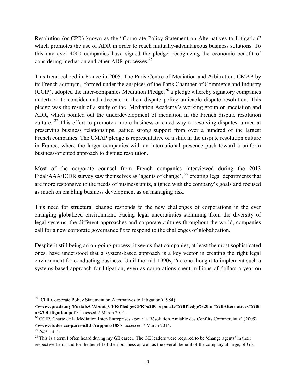Resolution (or CPR) known as the "Corporate Policy Statement on Alternatives to Litigation" which promotes the use of ADR in order to reach mutually-advantageous business solutions. To this day over 4000 companies have signed the pledge, recognizing the economic benefit of considering mediation and other ADR processes.<sup>[25](#page-8-0)</sup>

This trend echoed in France in 2005. The Paris Centre of Mediation and Arbitration, CMAP by its French acronym, formed under the auspices of the Paris Chamber of Commerce and Industry (CCIP), adopted the Inter-companies Mediation Pledge,  $26$  a pledge whereby signatory companies undertook to consider and advocate in their dispute policy amicable dispute resolution. This pledge was the result of a study of the Mediation Academy's working group on mediation and ADR, which pointed out the underdevelopment of mediation in the French dispute resolution culture. <sup>[27](#page-8-2)</sup> This effort to promote a more business-oriented way to resolving disputes, aimed at preserving business relationships, gained strong support from over a hundred of the largest French companies. The CMAP pledge is representative of a shift in the dispute resolution culture in France, where the larger companies with an international presence push toward a uniform business-oriented approach to dispute resolution.

Most of the corporate counsel from French companies interviewed during the 2013 Fidal/AAA/ICDR survey saw themselves as 'agents of change', <sup>[28](#page-8-3)</sup> creating legal departments that are more responsive to the needs of business units, aligned with the company's goals and focused as much on enabling business development as on managing risk.

This need for structural change responds to the new challenges of corporations in the ever changing globalized environment. Facing legal uncertainties stemming from the diversity of legal systems, the different approaches and corporate cultures throughout the world, companies call for a new corporate governance fit to respond to the challenges of globalization.

Despite it still being an on-going process, it seems that companies, at least the most sophisticated ones, have understood that a system-based approach is a key vector in creating the right legal environment for conducting business. Until the mid-1990s, "no one thought to implement such a systems-based approach for litigation, even as corporations spent millions of dollars a year on

<span id="page-8-0"></span><sup>&</sup>lt;sup>25</sup> 'CPR Corporate Policy Statement on Alternatives to Litigation'(1984)

**<sup>&</sup>lt;www.cpradr.org/Portals/0/About\_CPR/Pledge/CPR%20Corporate%20Pledge%20on%20Alternatives%20t o%20Litigation.pdf>** accessed 7 March 2014.

<span id="page-8-1"></span><sup>&</sup>lt;sup>26</sup> CCIP, Charte de la Médiation Inter-Entreprises - pour la Résolution Amiable des Conflits Commerciaux' (2005) <**www.etudes.cci-paris-idf.fr/rapport/188>** accessed 7 March 2014.

<span id="page-8-3"></span><span id="page-8-2"></span><sup>&</sup>lt;sup>27</sup> *Ibid.*, at 4.<br><sup>28</sup> This is a term I often heard during my GE career. The GE leaders were required to be 'change agents' in their respective fields and for the benefit of their business as well as the overall benefit of the company at large, of GE.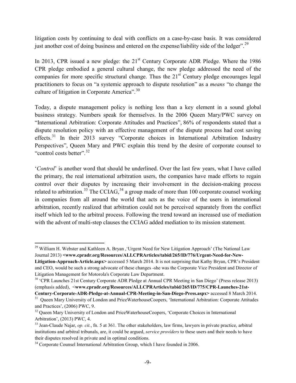litigation costs by continuing to deal with conflicts on a case-by-case basis. It was considered just another cost of doing business and entered on the expense/liability side of the ledger".<sup>[29](#page-9-0)</sup>

In 2013, CPR issued a new pledge: the  $21<sup>st</sup>$  Century Corporate ADR Pledge. Where the 1986 CPR pledge embodied a general cultural change, the new pledge addressed the need of the companies for more specific structural change. Thus the  $21<sup>st</sup>$  Century pledge encourages legal practitioners to focus on "a systemic approach to dispute resolution" as a *means* "to change the culture of litigation in Corporate America".<sup>[30](#page-9-1)</sup>

Today, a dispute management policy is nothing less than a key element in a sound global business strategy. Numbers speak for themselves. In the 2006 Queen Mary/PWC survey on "International Arbitration: Corporate Attitudes and Practices", 86% of respondents stated that a dispute resolution policy with an effective management of the dispute process had cost saving effects.<sup>[31](#page-9-2)</sup> In their 2013 survey "Corporate choices in International Arbitration Industry Perspectives", Queen Mary and PWC explain this trend by the desire of corporate counsel to "control costs better".<sup>[32](#page-9-3)</sup>

'*Control*' is another word that should be underlined. Over the last few years, what I have called the primary, the real international arbitration users, the companies have made efforts to regain control over their disputes by increasing their involvement in the decision-making process related to arbitration.<sup>[33](#page-9-4)</sup> The CCIAG,  $34$  a group made of more than 100 corporate counsel working in companies from all around the world that acts as the voice of the users in international arbitration, recently realized that arbitration could not be perceived separately from the conflict itself which led to the arbitral process. Following the trend toward an increased use of mediation with the advent of multi-step clauses the CCIAG added mediation to its mission statement.

<span id="page-9-0"></span><sup>&</sup>lt;sup>29</sup> William H. Webster and Kathleen A. Bryan , 'Urgent Need for New Litigation Approach' (The National Law Journal 2013) **<www.cpradr.org/Resources/ALLCPRArticles/tabid/265/ID/776/Urgent-Need-for-New-Litigation-Approach-Article.aspx>** accessed 5 March 2014. It is not surprising that Kathy Bryan, CPR's President and CEO, would be such a strong advocate of these changes -she was the Corporate Vice President and Director of Litigation Management for Motorola's Corporate Law Department.

<span id="page-9-1"></span><sup>&</sup>lt;sup>30</sup> 'CPR Launches 21st Century Corporate ADR Pledge at Annual CPR Meeting in San Diego' (Press release 2013) (emphasis added), <**www.cpradr.org/Resources/ALLCPRArticles/tabid/265/ID/775/CPR-Launches-21st-**

**Century-Corporate-ADR-Pledge-at-Annual-CPR-Meeting-in-San-Diego-Press.aspx>** accessed 8 March 2014. <sup>31</sup> Queen Mary University of London and PriceWaterhouseCoopers, 'International Arbitration: Corporate Attitudes

<span id="page-9-2"></span>and Practices', (2006) PWC, 9.

<span id="page-9-3"></span><sup>&</sup>lt;sup>32</sup> Oueen Mary University of London and PriceWaterhouseCoopers, 'Corporate Choices in International Arbitration', (2013) PWC, 4.

<span id="page-9-4"></span><sup>33</sup> Jean-Claude Najar, *op. cit.*, fn. 5 at 361. The other stakeholders, law firms, lawyers in private practice, arbitral institutions and arbitral tribunals, are, it could be argued, *service providers* to these users and their needs to have their disputes resolved in private and in optimal conditions.

<span id="page-9-5"></span><sup>&</sup>lt;sup>34</sup> Corporate Counsel International Arbitration Group, which I have founded in 2006.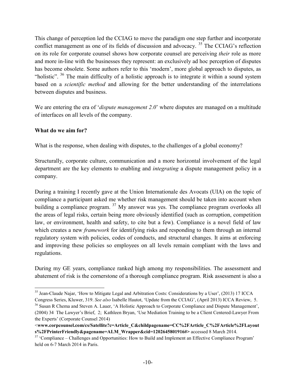This change of perception led the CCIAG to move the paradigm one step further and incorporate conflict management as one of its fields of discussion and advocacy.<sup>[35](#page-10-0)</sup> The CCIAG's reflection on its role for corporate counsel shows how corporate counsel are perceiving *their* role as more and more in-line with the businesses they represent: an exclusively ad hoc perception of disputes has become obsolete. Some authors refer to this 'modern', more global approach to disputes, as "holistic".  $36$  The main difficulty of a holistic approach is to integrate it within a sound system based on a *scientific method* and allowing for the better understanding of the interrelations between disputes and business.

We are entering the era of '*dispute management 2.0*' where disputes are managed on a multitude of interfaces on all levels of the company.

### **What do we aim for?**

What is the response, when dealing with disputes, to the challenges of a global economy?

Structurally, corporate culture, communication and a more horizontal involvement of the legal department are the key elements to enabling and *integrating* a dispute management policy in a company.

During a training I recently gave at the Union Internationale des Avocats (UIA) on the topic of compliance a participant asked me whether risk management should be taken into account when building a compliance program. <sup>[37](#page-10-2)</sup> My answer was yes. The compliance program overlooks all the areas of legal risks, certain being more obviously identified (such as corruption, competition law, or environment, health and safety, to cite but a few). Compliance is a novel field of law which creates a new *framework* for identifying risks and responding to them through an internal regulatory system with policies, codes of conducts, and structural changes. It aims at enforcing and improving these policies so employees on all levels remain compliant with the laws and regulations.

During my GE years, compliance ranked high among my responsibilities. The assessment and abatement of risk is the cornerstone of a thorough compliance program. Risk assessment is also a

<span id="page-10-0"></span><sup>&</sup>lt;sup>35</sup> Jean-Claude Najar, 'How to Mitigate Legal and Arbitration Costs: Considerations by a User', (2013) 17 ICCA

<span id="page-10-1"></span>Congress Series, Kluwer, 319. *See also* Isabelle Hautot, 'Update from the CCIAG', (April 2013) ICCA Review, 5. <sup>36</sup> Susan R Chema and Steven A. Lauer, 'A Holistic Approach to Corporate Compliance and Dispute Management', (2004) 34 The Lawyer's Brief, 2; Kathleen Bryan, 'Use Mediation Training to be a Client Centered-Lawyer From the Experts' (Corporate Counsel 2014)

<sup>&</sup>lt;**www.corpcounsel.com/cs/Satellite?c=Article\_C&childpagename=CC%2FArticle\_C%2FArticle%2FLayout s%2FPrinterFriendly&pagename=ALM\_Wrapper&cid=1202645801916#>** accessed 8 March 2014.

<span id="page-10-2"></span><sup>&</sup>lt;sup>37</sup> 'Compliance – Challenges and Opportunities: How to Build and Implement an Effective Compliance Program' held on 6-7 March 2014 in Paris.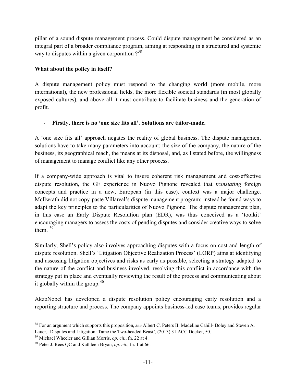pillar of a sound dispute management process. Could dispute management be considered as an integral part of a broader compliance program, aiming at responding in a structured and systemic way to disputes within a given corporation  $?^{38}$  $?^{38}$  $?^{38}$ 

## **What about the policy in itself?**

A dispute management policy must respond to the changing world (more mobile, more international), the new professional fields, the more flexible societal standards (in most globally exposed cultures), and above all it must contribute to facilitate business and the generation of profit.

### - **Firstly, there is no 'one size fits all'. Solutions are tailor-made.**

A 'one size fits all' approach negates the reality of global business. The dispute management solutions have to take many parameters into account: the size of the company, the nature of the business, its geographical reach, the means at its disposal, and, as I stated before, the willingness of management to manage conflict like any other process.

If a company-wide approach is vital to insure coherent risk management and cost-effective dispute resolution, the GE experience in Nuovo Pignone revealed that *translating* foreign concepts and practice in a new, European (in this case), context was a major challenge. McIlwrath did not copy-paste Villareal's dispute management program; instead he found ways to adapt the key principles to the particularities of Nuovo Pignone. The dispute management plan, in this case an Early Dispute Resolution plan (EDR), was thus conceived as a 'toolkit' encouraging managers to assess the costs of pending disputes and consider creative ways to solve them. [39](#page-11-1)

Similarly, Shell's policy also involves approaching disputes with a focus on cost and length of dispute resolution. Shell's 'Litigation Objective Realization Process' (LORP) aims at identifying and assessing litigation objectives and risks as early as possible, selecting a strategy adapted to the nature of the conflict and business involved, resolving this conflict in accordance with the strategy put in place and eventually reviewing the result of the process and communicating about it globally within the group. $40$ 

AkzoNobel has developed a dispute resolution policy encouraging early resolution and a reporting structure and process. The company appoints business-led case teams, provides regular

<span id="page-11-0"></span> <sup>38</sup> For an argument which supports this proposition, *see* Albert C. Peters II, Madeline Cahill- Boley and Steven A. Lauer, 'Disputes and Litigation: Tame the Two-headed Beast', (2013) 31 ACC Docket, 50.

<span id="page-11-1"></span><sup>39</sup> Michael Wheeler and Gillian Morris, *op. cit.*, fn. 22 at 4.

<span id="page-11-2"></span><sup>40</sup> Peter J. Rees QC and Kathleen Bryan, *op. cit.*, fn. 1 at 66.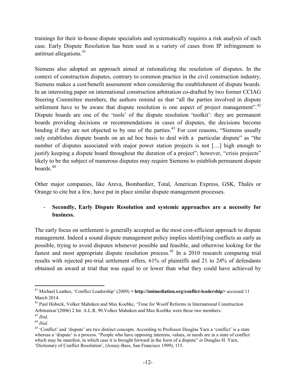trainings for their in-house dispute specialists and systematically requires a risk analysis of each case. Early Dispute Resolution has been used in a variety of cases from IP infringement to antitrust allegations. [41](#page-12-0)

Siemens also adopted an approach aimed at rationalizing the resolution of disputes. In the context of construction disputes, contrary to common practice in the civil construction industry, Siemens makes a cost/benefit assessment when considering the establishment of dispute boards. In an interesting paper on international construction arbitration co-drafted by two former CCIAG Steering Committee members, the authors remind us that "all the parties involved in dispute settlement have to be aware that dispute resolution is one aspect of project management".<sup>[42](#page-12-1)</sup> Dispute boards are one of the 'tools' of the dispute resolution 'toolkit': they are permanent boards providing decisions or recommendations in cases of disputes, the decisions become binding if they are not objected to by one of the parties.<sup>[43](#page-12-2)</sup> For cost reasons, "Siemens usually only establishes dispute boards on an ad hoc basis to deal with a particular dispute" as "the number of disputes associated with major power station projects is not […] high enough to justify keeping a dispute board throughout the duration of a project"; however, "crisis projects" likely to be the subject of numerous disputes may require Siemens to establish permanent dispute boards. [44](#page-12-3)

Other major companies, like Areva, Bombardier, Total, American Express, GSK, Thalès or Orange to cite but a few, have put in place similar dispute management processes.

# - **Secondly, Early Dispute Resolution and systemic approaches are a necessity for business.**

The early focus on settlement is generally accepted as the most cost-efficient approach to dispute management. Indeed a sound dispute management policy implies identifying conflicts as early as possible, trying to avoid disputes whenever possible and feasible, and otherwise looking for the fastest and most appropriate dispute resolution process.<sup>[45](#page-12-4)</sup> In a 2010 research comparing trial results with rejected pre-trial settlement offers, 61% of plaintiffs and 21 to 24% of defendants obtained an award at trial that was equal to or lower than what they could have achieved by

<span id="page-12-0"></span> <sup>41</sup> Michael Leathes, 'Conflict Leadership' (2009) **< http://imimediation.org/conflict-leadership>** accessed 11 March 2014.

<span id="page-12-1"></span><sup>&</sup>lt;sup>42</sup> Paul Hobeck, Volker Mahnken and Max Koebke, 'Time for Woolf Reforms in International Construction Arbitration'(2006) 2 Int. A.L.R, 90.Volker Mahnken and Max Koebke were these two members.

<span id="page-12-2"></span><sup>43</sup> *Ibid*.

<span id="page-12-3"></span><sup>44</sup> *Ibid*.

<span id="page-12-4"></span><sup>&</sup>lt;sup>45</sup> 'Conflict' and 'dispute' are two distinct concepts. According to Professor Douglas Yarn a 'conflict' is a state whereas a 'dispute' is a process. "People who have opposing interests, values, or needs are in a state of conflict which may be manifest, in which case it is brought forward in the form of a dispute" *in* Douglas H. Yarn, 'Dictionary of Conflict Resolution', (Jossey-Bass, San Francisco 1999), 115.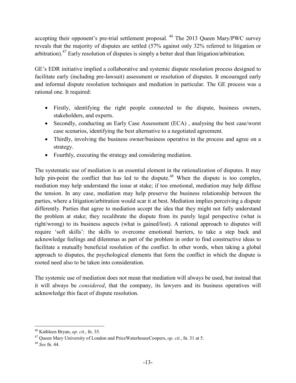accepting their opponent's pre-trial settlement proposal. <sup>[46](#page-13-0)</sup> The 2013 Queen Mary/PWC survey reveals that the majority of disputes are settled (57% against only 32% referred to litigation or arbitration).[47](#page-13-1) Early resolution of disputes is simply a better deal than litigation/arbitration.

GE's EDR initiative implied a collaborative and systemic dispute resolution process designed to facilitate early (including pre-lawsuit) assessment or resolution of disputes. It encouraged early and informal dispute resolution techniques and mediation in particular. The GE process was a rational one. It required:

- Firstly, identifying the right people connected to the dispute, business owners, stakeholders, and experts.
- Secondly, conducting an Early Case Assessment (ECA), analysing the best case/worst case scenarios, identifying the best alternative to a negotiated agreement.
- Thirdly, involving the business owner/business operative in the process and agree on a strategy.
- $\bullet$  Fourthly, executing the strategy and considering mediation.

The systematic use of mediation is an essential element in the rationalization of disputes. It may help pin-point the conflict that has led to the dispute.<sup>[48](#page-13-2)</sup> When the dispute is too complex, mediation may help understand the issue at stake; if too emotional, mediation may help diffuse the tension. In any case, mediation may help preserve the business relationship between the parties, where a litigation/arbitration would scar it at best. Mediation implies perceiving a dispute differently. Parties that agree to mediation accept the idea that they might not fully understand the problem at stake; they recalibrate the dispute from its purely legal perspective (what is right/wrong) to its business aspects (what is gained/lost). A rational approach to disputes will require 'soft skills': the skills to overcome emotional barriers, to take a step back and acknowledge feelings and dilemmas as part of the problem in order to find constructive ideas to facilitate a mutually beneficial resolution of the conflict. In other words, when taking a global approach to disputes, the psychological elements that form the conflict in which the dispute is rooted need also to be taken into consideration.

The systemic use of mediation does not mean that mediation will always be used, but instead that it will always be *considered*, that the company, its lawyers and its business operatives will acknowledge this facet of dispute resolution.

<span id="page-13-0"></span> <sup>46</sup> Kathleen Bryan, *op. cit.*, fn. 35.

<span id="page-13-1"></span><sup>47</sup> Queen Mary University of London and PriceWaterhouseCoopers, *op. cit.*, fn. 31 at 5.

<span id="page-13-2"></span><sup>48</sup> *See* fn. 44.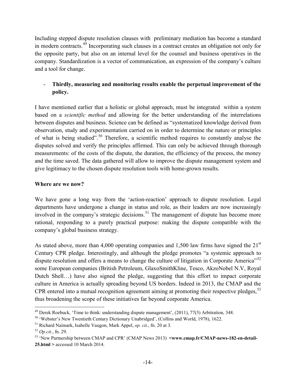Including stepped dispute resolution clauses with preliminary mediation has become a standard in modern contracts.[49](#page-14-0) Incorporating such clauses in a contract creates an obligation not only for the opposite party, but also on an internal level for the counsel and business operatives in the company. Standardization is a vector of communication, an expression of the company's culture and a tool for change.

# - **Thirdly, measuring and monitoring results enable the perpetual improvement of the policy.**

I have mentioned earlier that a holistic or global approach, must be integrated within a system based on a *scientific method* and allowing for the better understanding of the interrelations between disputes and business. Science can be defined as "systematized knowledge derived from observation, study and experimentation carried on in order to determine the nature or principles of what is being studied".<sup>[50](#page-14-1)</sup> Therefore, a scientific method requires to constantly analyse the disputes solved and verify the principles affirmed. This can only be achieved through thorough measurements: of the costs of the dispute, the duration, the efficiency of the process, the money and the time saved. The data gathered will allow to improve the dispute management system and give legitimacy to the chosen dispute resolution tools with home-grown results.

# **Where are we now?**

We have gone a long way from the 'action-reaction' approach to dispute resolution. Legal departments have undergone a change in status and role, as their leaders are now increasingly involved in the company's strategic decisions.<sup>[51](#page-14-2)</sup> The management of dispute has become more rational, responding to a purely practical purpose: making the dispute compatible with the company's global business strategy.

As stated above, more than 4,000 operating companies and 1,500 law firms have signed the  $21<sup>st</sup>$ Century CPR pledge. Interestingly, and although the pledge promotes "a systemic approach to dispute resolution and offers a means to change the culture of litigation in Corporate America<sup>[52](#page-14-3)</sup> some European companies (British Petroleum, GlaxoSmithKline, Tesco, AkzoNobel N.V, Royal Dutch Shell…) have also signed the pledge, suggesting that this effort to impact corporate culture in America is actually spreading beyond US borders. Indeed in 2013, the CMAP and the CPR entered into a mutual recognition agreement aiming at promoting their respective pledges,<sup>[53](#page-14-4)</sup> thus broadening the scope of these initiatives far beyond corporate America.

<span id="page-14-0"></span><sup>&</sup>lt;sup>49</sup> Derek Roebuck, 'Time to think: understanding dispute management',  $(2011)$ ,  $77(3)$  Arbitration, 348. <sup>50</sup> 'Webster's New Twentieth Century Dictionary Unabridged', (Collins and World, 1978), 1622.

<span id="page-14-1"></span>

<span id="page-14-2"></span><sup>51</sup> Richard Naimark, Isabelle Vaugon, Mark Appel, *op. cit.*, fn. 20 at 3.

<span id="page-14-3"></span><sup>52</sup> *Op.cit.*, fn. 29.

<span id="page-14-4"></span><sup>&</sup>lt;sup>53</sup> 'New Partnership between CMAP and CPR' (CMAP News 2013) **<www.cmap.fr/CMAP-news-182-en-detail-25.html >** accessed 10 March 2014.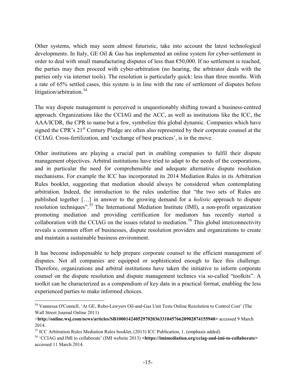Other systems, which may seem almost futuristic, take into account the latest technological developments. In Italy, GE Oil & Gas has implemented an online system for cyber-settlement in order to deal with small manufacturing disputes of less than  $\epsilon$ 50,000. If no settlement is reached, the parties may then proceed with cyber-arbitration (no hearing, the arbitrator deals with the parties only via internet tools). The resolution is particularly quick: less than three months. With a rate of 65% settled cases, this system is in line with the rate of settlement of disputes before litigation/arbitration.<sup>[54](#page-15-0)</sup>

The way dispute management is perceived is unquestionably shifting toward a business-centred approach. Organizations like the CCIAG and the ACC, as well as institutions like the ICC, the AAA/ICDR, the CPR to name but a few, symbolize this global dynamic. Companies which have signed the CPR's 21<sup>st</sup> Century Pledge are often also represented by their corporate counsel at the CCIAG. Cross-fertilization, and 'exchange of best practices', is in the move.

Other institutions are playing a crucial part in enabling companies to fulfil their dispute management objectives. Arbitral institutions have tried to adapt to the needs of the corporations, and in particular the need for comprehensible and adequate alternative dispute resolution mechanisms. For example the ICC has incorporated its 2014 Mediation Rules in its Arbitration Rules booklet, suggesting that mediation should always be considered when contemplating arbitration. Indeed, the introduction to the rules underline that "the two sets of Rules are published together […] in answer to the growing demand for a *holistic* approach to dispute resolution techniques".<sup>[55](#page-15-1)</sup> The International Mediation Institute (IMI), a non-profit organization promoting mediation and providing certification for mediators has recently started a collaboration with the CCIAG on the issues related to mediation.<sup>[56](#page-15-2)</sup> This global interconnectivity reveals a common effort of businesses, dispute resolution providers and organizations to create and maintain a sustainable business environment.

It has become indispensable to help prepare corporate counsel to the efficient management of disputes. Not all companies are equipped or sophisticated enough to face this challenge. Therefore, organizations and arbitral institutions have taken the initiative to inform corporate counsel on the dispute resolution and dispute management technics via so-called "toolkits". A toolkit can be characterized as a compendium of key data in a practical format, enabling the less experienced parties to make informed choices.

<span id="page-15-0"></span> <sup>54</sup> Vannessa O'Connell, 'At GE, Robo-Lawyers Oil-and-Gas Unit Tests Online Resolution to Control Cost' (The Wall Street Journal Online 2011)

<sup>&</sup>lt;**http://online.wsj.com/news/articles/SB10001424052970203633104576620902874155940>** accessed 9 March 2014.

<span id="page-15-1"></span><sup>55</sup> ICC Arbitration Rules Mediation Rules booklet, (2013) ICC Publication, 1. (emphasis added)

<span id="page-15-2"></span><sup>56</sup> 'CCIAG and IMI to collaborate' (IMI website 2013) **<https://imimediation.org/cciag-and-imi-to-collaborate>**  accessed 11 March 2014.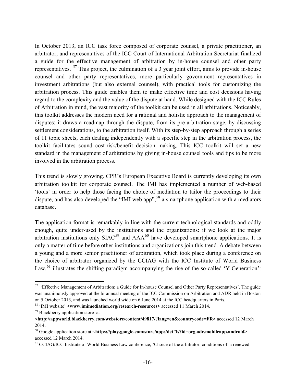In October 2013, an ICC task force composed of corporate counsel, a private practitioner, an arbitrator, and representatives of the ICC Court of International Arbitration Secretariat finalized a guide for the effective management of arbitration by in-house counsel and other party representatives.  $57$  This project, the culmination of a 3 year joint effort, aims to provide in-house counsel and other party representatives, more particularly government representatives in investment arbitrations (but also external counsel), with practical tools for customizing the arbitration process. This guide enables them to make effective time and cost decisions having regard to the complexity and the value of the dispute at hand. While designed with the ICC Rules of Arbitration in mind, the vast majority of the toolkit can be used in all arbitrations. Noticeably, this toolkit addresses the modern need for a rational and holistic approach to the management of disputes: it draws a roadmap through the dispute, from its pre-arbitration stage, by discussing settlement considerations, to the arbitration itself. With its step-by-step approach through a series of 11 topic sheets, each dealing independently with a specific step in the arbitration process, the toolkit facilitates sound cost-risk/benefit decision making. This ICC toolkit will set a new standard in the management of arbitrations by giving in-house counsel tools and tips to be more involved in the arbitration process.

This trend is slowly growing. CPR's European Executive Board is currently developing its own arbitration toolkit for corporate counsel. The IMI has implemented a number of web-based 'tools' in order to help those facing the choice of mediation to tailor the proceedings to their dispute, and has also developed the "IMI web app",  $58$  a smartphone application with a mediators database.

The application format is remarkably in line with the current technological standards and oddly enough, quite under-used by the institutions and the organizations: if we look at the major arbitration institutions only  $SIAC<sup>59</sup>$  $SIAC<sup>59</sup>$  $SIAC<sup>59</sup>$  and  $AAA<sup>60</sup>$  $AAA<sup>60</sup>$  $AAA<sup>60</sup>$  have developed smartphone applications. It is only a matter of time before other institutions and organizations join this trend. A debate between a young and a more senior practitioner of arbitration, which took place during a conference on the choice of arbitrator organized by the CCIAG with the ICC Institute of World Business Law,  $61$  illustrates the shifting paradigm accompanying the rise of the so-called 'Y Generation':

<span id="page-16-1"></span><span id="page-16-0"></span><sup>&</sup>lt;sup>57</sup> 'Effective Management of Arbitration: a Guide for In-house Counsel and Other Party Representatives'. The guide was unanimously approved at the bi-annual meeting of the ICC Commission on Arbitration and ADR held in Boston on 5 October 2013, and was launched world wide on 6 June 2014 at the ICC headquarters in Paris.

<span id="page-16-2"></span><sup>58</sup> 'IMI website' **<www.imimediation.org/research-resources>** accessed 11 March 2014.

<sup>&</sup>lt;sup>59</sup> Blackberry application store at

<span id="page-16-3"></span>**<sup>&</sup>lt;http://appworld.blackberry.com/webstore/content/49817/?lang=en&countrycode=FR>** accessed 12 March 2014.

<span id="page-16-4"></span><sup>60</sup> Google application store at <**https://play.google.com/store/apps/det"ls?id=org.adr.mobileapp.android>**  accessed 12 March 2014.

<sup>&</sup>lt;sup>61</sup> CCIAG/ICC Institute of World Business Law conference, 'Choice of the arbitrator: conditions of a renewed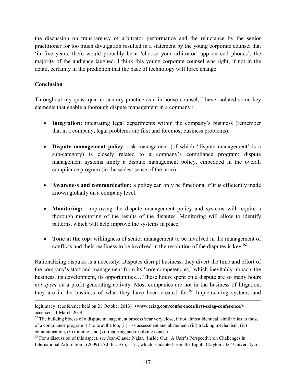the discussion on transparency of arbitrator performance and the reluctance by the senior practitioner for too much divulgation resulted in a statement by the young corporate counsel that 'in five years, there would probably be a 'choose your arbitrator' app on cell phones'; the majority of the audience laughed. I think this young corporate counsel was right, if not in the detail, certainly in the prediction that the pace of technology will force change.

#### **Conclusion**

 $\overline{a}$ 

Throughout my quasi quarter-century practice as a in-house counsel, I have isolated some key elements that enable a thorough dispute management in a company :

- **Integration:** integrating legal departments within the company's business (remember that in a company, legal problems are first and foremost business problems).
- x **Dispute management policy**: risk management (of which 'dispute management' is a sub-category) is closely related to a company's compliance program: dispute management systems imply a dispute management policy, embedded in the overall compliance program (in the widest sense of the term).
- x **Awareness and communication:** a policy can only be functional if it is efficiently made known globally on a company level.
- **Monitoring:** improving the dispute management policy and systems will require a thorough monitoring of the results of the disputes. Monitoring will allow to identify patterns, which will help improve the systems in place.
- **Tone at the top:** willingness of senior management to be involved in the management of conflicts and their readiness to be involved in the resolution of the disputes is key.  $62$

Rationalizing disputes is a necessity. Disputes disrupt business, they divert the time and effort of the company's staff and management from its 'core competencies,' which inevitably impacts the business, its development, its opportunities… These hours spent on a dispute are so many hours *not spent* on a profit generating activity. Most companies are not in the business of litigation, they are in the business of what they have been created for.<sup>[63](#page-17-1)</sup> Implementing systems and

legitimacy' (conference held on 21 October 2013) **<www.cciag.com/conferences/first-cciag-conference/>**  accessed 11 March 2014.

<span id="page-17-0"></span> $62$  The building blocks of a dispute management process bear very close, if not almost identical, similarities to those of a compliance program: (i) tone at the top, (ii) risk assessment and abatement, (iii) tracking mechanism, (iv) communication, (v) training, and (vi) reporting and resolving concerns.<br><sup>63</sup> For a discussion of this aspect, *see* Jean-Claude Najar, 'Inside Out : A User's Perspective on Challenges in

<span id="page-17-1"></span>International Arbitration', (2009) 25 J. Int. Arb, 517. , which is adapted from the Eighth Clayton Utz / University of